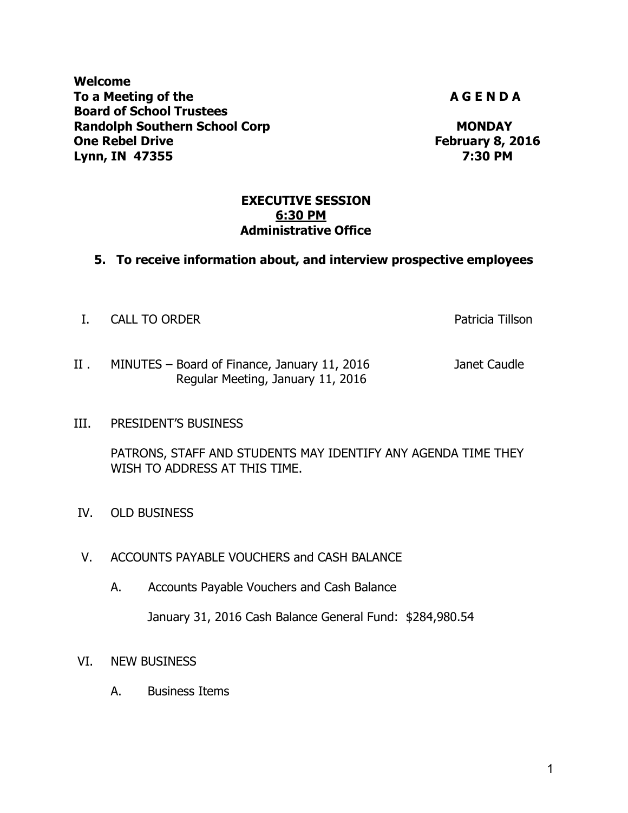**Welcome**  To a Meeting of the **A G E N D A A G E N D A Board of School Trustees Randolph Southern School Corp MONDAY One Rebel Drive February 8, 2016 Lynn, IN 47355 7:30 PM** 

#### **EXECUTIVE SESSION 6:30 PM Administrative Office**

#### **5. To receive information about, and interview prospective employees**

I. CALL TO ORDER **Patricia Tillson** 

- II . MINUTES Board of Finance, January 11, 2016 Janet Caudle Regular Meeting, January 11, 2016
- III. PRESIDENT'S BUSINESS

PATRONS, STAFF AND STUDENTS MAY IDENTIFY ANY AGENDA TIME THEY WISH TO ADDRESS AT THIS TIME.

- IV. OLD BUSINESS
- V. ACCOUNTS PAYABLE VOUCHERS and CASH BALANCE
	- A. Accounts Payable Vouchers and Cash Balance

January 31, 2016 Cash Balance General Fund: \$284,980.54

- VI. NEW BUSINESS
	- A. Business Items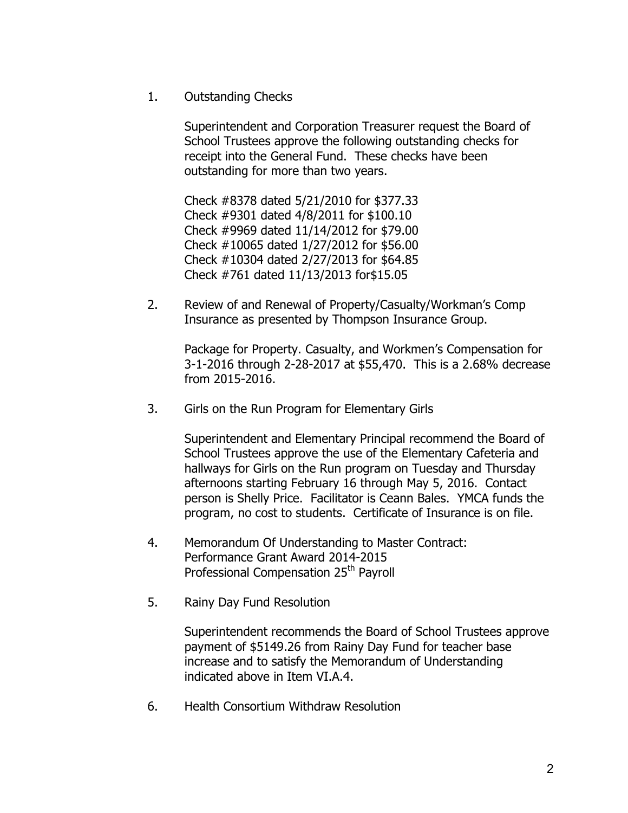1. Outstanding Checks

Superintendent and Corporation Treasurer request the Board of School Trustees approve the following outstanding checks for receipt into the General Fund. These checks have been outstanding for more than two years.

Check #8378 dated 5/21/2010 for \$377.33 Check #9301 dated 4/8/2011 for \$100.10 Check #9969 dated 11/14/2012 for \$79.00 Check #10065 dated 1/27/2012 for \$56.00 Check #10304 dated 2/27/2013 for \$64.85 Check #761 dated 11/13/2013 for\$15.05

2. Review of and Renewal of Property/Casualty/Workman's Comp Insurance as presented by Thompson Insurance Group.

 Package for Property. Casualty, and Workmen's Compensation for 3-1-2016 through 2-28-2017 at \$55,470. This is a 2.68% decrease from 2015-2016.

3. Girls on the Run Program for Elementary Girls

Superintendent and Elementary Principal recommend the Board of School Trustees approve the use of the Elementary Cafeteria and hallways for Girls on the Run program on Tuesday and Thursday afternoons starting February 16 through May 5, 2016. Contact person is Shelly Price. Facilitator is Ceann Bales. YMCA funds the program, no cost to students. Certificate of Insurance is on file.

- 4. Memorandum Of Understanding to Master Contract: Performance Grant Award 2014-2015 Professional Compensation 25<sup>th</sup> Payroll
- 5. Rainy Day Fund Resolution

Superintendent recommends the Board of School Trustees approve payment of \$5149.26 from Rainy Day Fund for teacher base increase and to satisfy the Memorandum of Understanding indicated above in Item VI.A.4.

6. Health Consortium Withdraw Resolution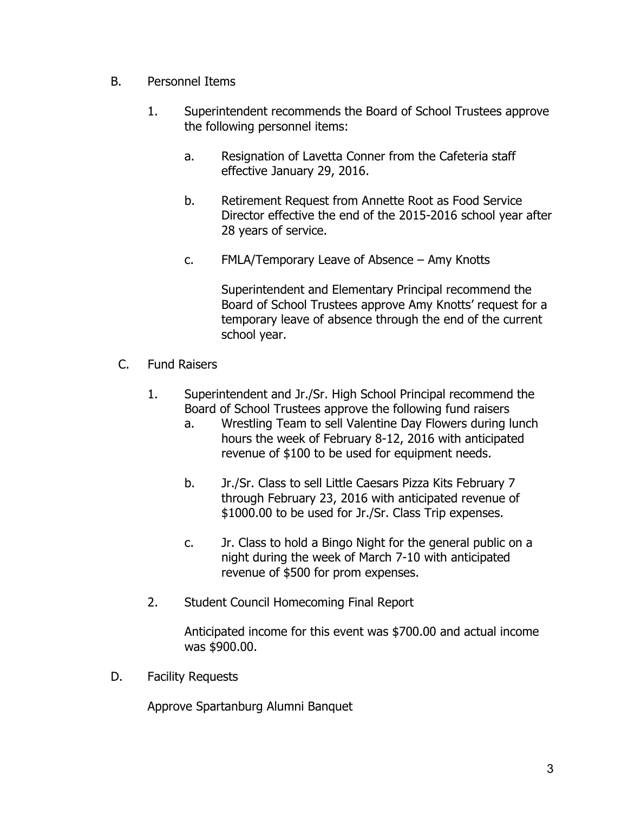- B. Personnel Items
	- 1. Superintendent recommends the Board of School Trustees approve the following personnel items:
		- a. Resignation of Lavetta Conner from the Cafeteria staff effective January 29, 2016.
		- b. Retirement Request from Annette Root as Food Service Director effective the end of the 2015-2016 school year after 28 years of service.
		- c. FMLA/Temporary Leave of Absence Amy Knotts

Superintendent and Elementary Principal recommend the Board of School Trustees approve Amy Knotts' request for a temporary leave of absence through the end of the current school year.

- C. Fund Raisers
	- 1. Superintendent and Jr./Sr. High School Principal recommend the Board of School Trustees approve the following fund raisers
		- a. Wrestling Team to sell Valentine Day Flowers during lunch hours the week of February 8-12, 2016 with anticipated revenue of \$100 to be used for equipment needs.
		- b. Jr./Sr. Class to sell Little Caesars Pizza Kits February 7 through February 23, 2016 with anticipated revenue of \$1000.00 to be used for Jr./Sr. Class Trip expenses.
		- c. Jr. Class to hold a Bingo Night for the general public on a night during the week of March 7-10 with anticipated revenue of \$500 for prom expenses.
	- 2. Student Council Homecoming Final Report

Anticipated income for this event was \$700.00 and actual income was \$900.00.

D. Facility Requests

Approve Spartanburg Alumni Banquet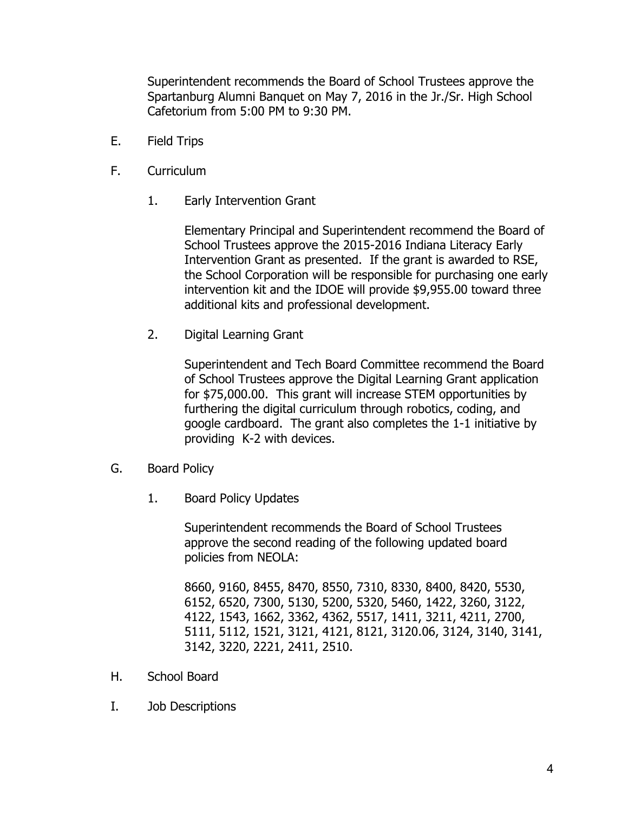Superintendent recommends the Board of School Trustees approve the Spartanburg Alumni Banquet on May 7, 2016 in the Jr./Sr. High School Cafetorium from 5:00 PM to 9:30 PM.

- E. Field Trips
- F. Curriculum
	- 1. Early Intervention Grant

Elementary Principal and Superintendent recommend the Board of School Trustees approve the 2015-2016 Indiana Literacy Early Intervention Grant as presented. If the grant is awarded to RSE, the School Corporation will be responsible for purchasing one early intervention kit and the IDOE will provide \$9,955.00 toward three additional kits and professional development.

2. Digital Learning Grant

Superintendent and Tech Board Committee recommend the Board of School Trustees approve the Digital Learning Grant application for \$75,000.00. This grant will increase STEM opportunities by furthering the digital curriculum through robotics, coding, and google cardboard. The grant also completes the 1-1 initiative by providing K-2 with devices.

- G. Board Policy
	- 1. Board Policy Updates

Superintendent recommends the Board of School Trustees approve the second reading of the following updated board policies from NEOLA:

8660, 9160, 8455, 8470, 8550, 7310, 8330, 8400, 8420, 5530, 6152, 6520, 7300, 5130, 5200, 5320, 5460, 1422, 3260, 3122, 4122, 1543, 1662, 3362, 4362, 5517, 1411, 3211, 4211, 2700, 5111, 5112, 1521, 3121, 4121, 8121, 3120.06, 3124, 3140, 3141, 3142, 3220, 2221, 2411, 2510.

- H. School Board
- I. Job Descriptions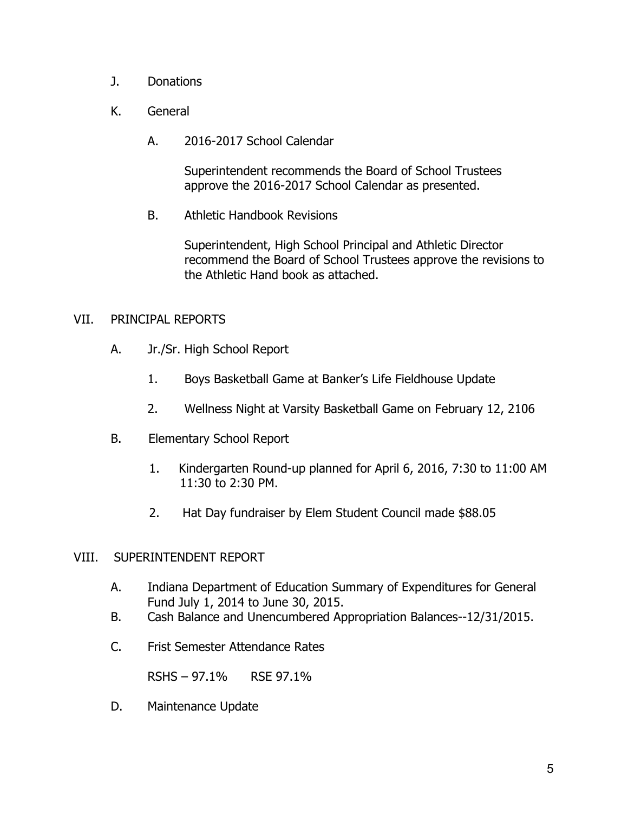- J. Donations
- K. General
	- A. 2016-2017 School Calendar

Superintendent recommends the Board of School Trustees approve the 2016-2017 School Calendar as presented.

B. Athletic Handbook Revisions

Superintendent, High School Principal and Athletic Director recommend the Board of School Trustees approve the revisions to the Athletic Hand book as attached.

### VII. PRINCIPAL REPORTS

- A. Jr./Sr. High School Report
	- 1. Boys Basketball Game at Banker's Life Fieldhouse Update
	- 2. Wellness Night at Varsity Basketball Game on February 12, 2106
- B. Elementary School Report
	- 1. Kindergarten Round-up planned for April 6, 2016, 7:30 to 11:00 AM 11:30 to 2:30 PM.
	- 2. Hat Day fundraiser by Elem Student Council made \$88.05

### VIII. SUPERINTENDENT REPORT

- A. Indiana Department of Education Summary of Expenditures for General Fund July 1, 2014 to June 30, 2015.
- B. Cash Balance and Unencumbered Appropriation Balances--12/31/2015.
- C. Frist Semester Attendance Rates

RSHS – 97.1% RSE 97.1%

D. Maintenance Update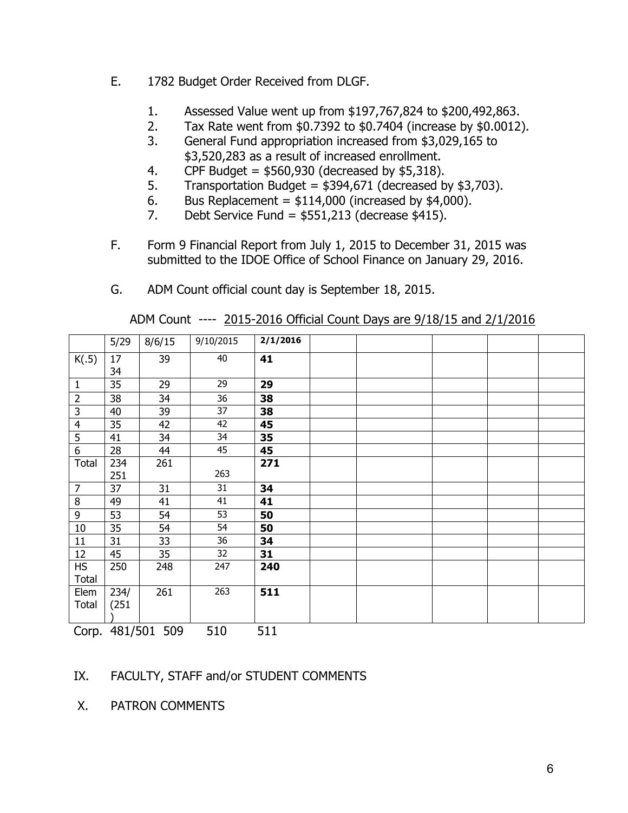- E. 1782 Budget Order Received from DLGF.
	- 1. Assessed Value went up from \$197,767,824 to \$200,492,863.
	- 2. Tax Rate went from \$0.7392 to \$0.7404 (increase by \$0.0012).
	- 3. General Fund appropriation increased from \$3,029,165 to \$3,520,283 as a result of increased enrollment.
	- 4. CPF Budget =  $$560,930$  (decreased by  $$5,318$ ).
	- 5. Transportation Budget =  $$394,671$  (decreased by  $$3,703$ ).
	- 6. Bus Replacement =  $$114,000$  (increased by  $$4,000$ ).
	- 7. Debt Service Fund =  $$551,213$  (decrease  $$415$ ).
- F. Form 9 Financial Report from July 1, 2015 to December 31, 2015 was submitted to the IDOE Office of School Finance on January 29, 2016.
- G. ADM Count official count day is September 18, 2015.

|                         | 5/29          | 8/6/15 | 9/10/2015 | 2/1/2016 |  |  |  |
|-------------------------|---------------|--------|-----------|----------|--|--|--|
| K(.5)                   | 17<br>34      | 39     | 40        | 41       |  |  |  |
| $\mathbf{1}$            | 35            | 29     | 29        | 29       |  |  |  |
| $\overline{2}$          | 38            | 34     | 36        | 38       |  |  |  |
| $\overline{\mathbf{3}}$ | 40            | 39     | 37        | 38       |  |  |  |
| $\overline{4}$          | 35            | 42     | 42        | 45       |  |  |  |
| $\overline{5}$          | 41            | 34     | 34        | 35       |  |  |  |
| $\overline{6}$          | 28            | 44     | 45        | 45       |  |  |  |
| Total                   | 234           | 261    |           | 271      |  |  |  |
|                         | 251           |        | 263       |          |  |  |  |
| $\overline{7}$          | 37            | 31     | 31        | 34       |  |  |  |
| $\, 8$                  | 49            | 41     | 41        | 41       |  |  |  |
| $\boldsymbol{9}$        | 53            | 54     | 53        | 50       |  |  |  |
| 10                      | 35            | 54     | 54        | 50       |  |  |  |
| 11                      | 31            | 33     | 36        | 34       |  |  |  |
| 12                      | 45            | 35     | 32        | 31       |  |  |  |
| <b>HS</b><br>Total      | 250           | 248    | 247       | 240      |  |  |  |
| Elem<br><b>Total</b>    | 234/<br>(251) | 261    | 263       | 511      |  |  |  |

ADM Count ---- 2015-2016 Official Count Days are 9/18/15 and 2/1/2016

Corp. 481/501 509 510 511

## IX. FACULTY, STAFF and/or STUDENT COMMENTS

X. PATRON COMMENTS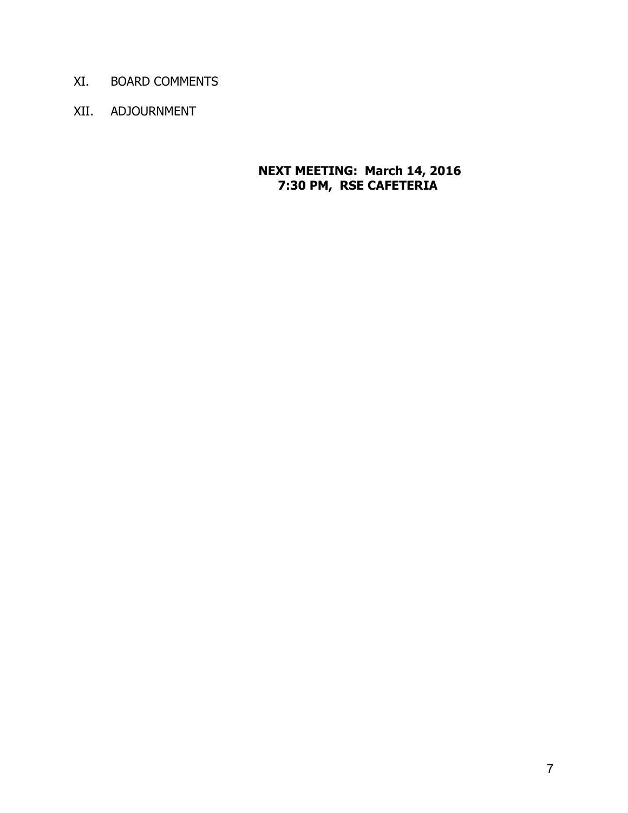- XI. BOARD COMMENTS
- XII. ADJOURNMENT

#### **NEXT MEETING: March 14, 2016 7:30 PM, RSE CAFETERIA**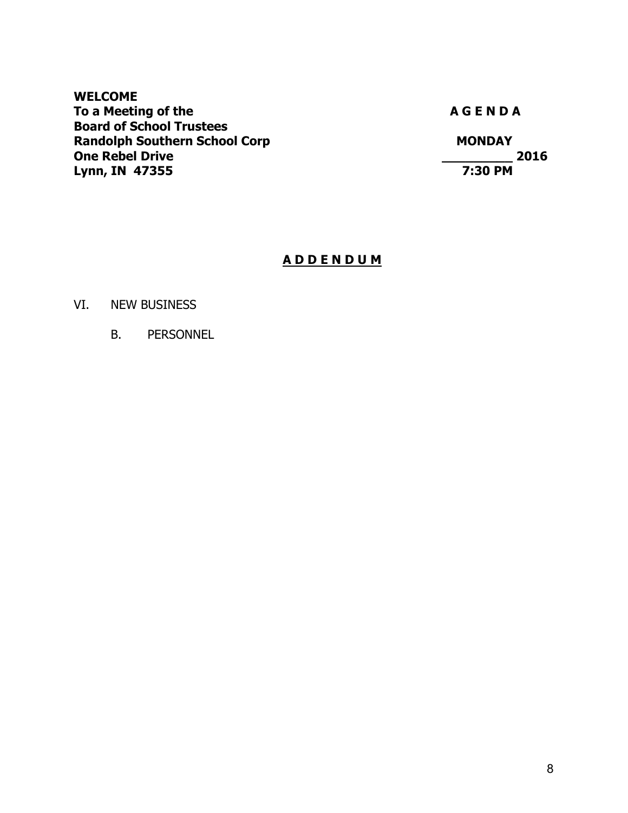#### **WELCOME**  To a Meeting of the **A G E N D A A G E N D A Board of School Trustees Randolph Southern School Corp MONDAY MONDAY One Rebel Drive**<br> **Lynn, IN 47355**<br> **Lynn, IN 47355 Lynn, IN 47355**

### **A D D E N D U M**

#### VI. NEW BUSINESS

B. PERSONNEL